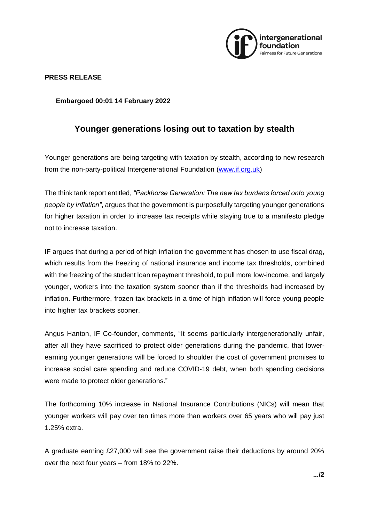

## **PRESS RELEASE**

**Embargoed 00:01 14 February 2022**

## **Younger generations losing out to taxation by stealth**

Younger generations are being targeting with taxation by stealth, according to new research from the non-party-political Intergenerational Foundation [\(www.if.org.uk\)](http://www.if.org.uk/)

The think tank report entitled, *"Packhorse Generation: The new tax burdens forced onto young people by inflation"*, argues that the government is purposefully targeting younger generations for higher taxation in order to increase tax receipts while staying true to a manifesto pledge not to increase taxation.

IF argues that during a period of high inflation the government has chosen to use fiscal drag, which results from the freezing of national insurance and income tax thresholds, combined with the freezing of the student loan repayment threshold, to pull more low-income, and largely younger, workers into the taxation system sooner than if the thresholds had increased by inflation. Furthermore, frozen tax brackets in a time of high inflation will force young people into higher tax brackets sooner.

Angus Hanton, IF Co-founder, comments, "It seems particularly intergenerationally unfair, after all they have sacrificed to protect older generations during the pandemic, that lowerearning younger generations will be forced to shoulder the cost of government promises to increase social care spending and reduce COVID-19 debt, when both spending decisions were made to protect older generations."

The forthcoming 10% increase in National Insurance Contributions (NICs) will mean that younger workers will pay over ten times more than workers over 65 years who will pay just 1.25% extra.

A graduate earning £27,000 will see the government raise their deductions by around 20% over the next four years – from 18% to 22%.